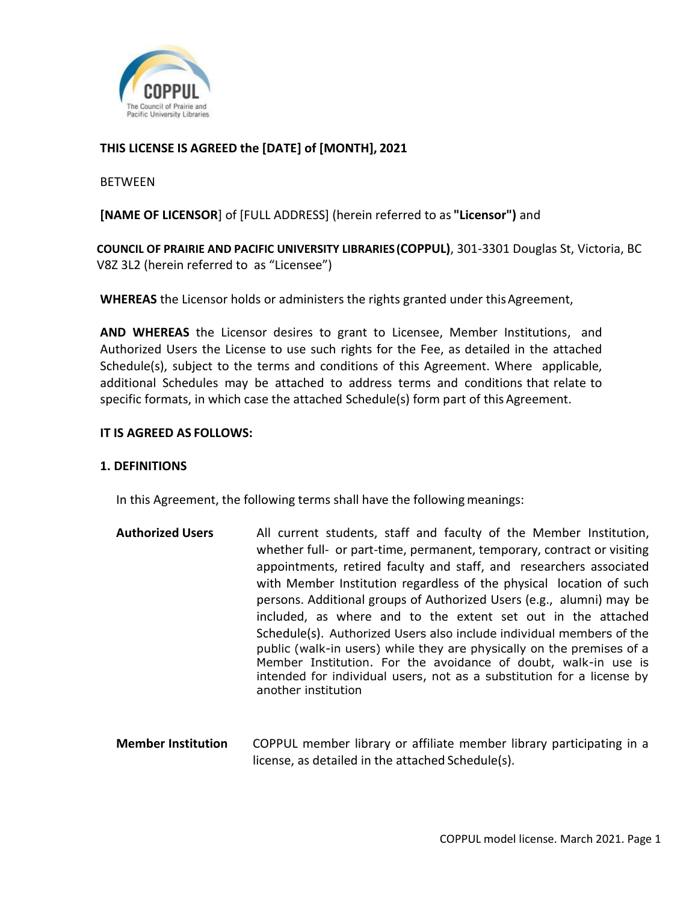

# **THIS LICENSE IS AGREED the [DATE] of [MONTH], 2021**

#### **BETWEEN**

**[NAME OF LICENSOR**] of [FULL ADDRESS] (herein referred to as **"Licensor")** and

**COUNCIL OF PRAIRIE AND PACIFIC UNIVERSITY LIBRARIES (COPPUL)**, 301-3301 Douglas St, Victoria, BC V8Z 3L2 (herein referred to as "Licensee")

**WHEREAS** the Licensor holds or administers the rights granted under this Agreement,

**AND WHEREAS** the Licensor desires to grant to Licensee, Member Institutions, and Authorized Users the License to use such rights for the Fee, as detailed in the attached Schedule(s), subject to the terms and conditions of this Agreement. Where applicable, additional Schedules may be attached to address terms and conditions that relate to specific formats, in which case the attached Schedule(s) form part of this Agreement.

#### **IT IS AGREED AS FOLLOWS:**

#### **1. DEFINITIONS**

In this Agreement, the following terms shall have the following meanings:

- **Authorized Users** All current students, staff and faculty of the Member Institution, whether full- or part-time, permanent, temporary, contract or visiting appointments, retired faculty and staff, and researchers associated with Member Institution regardless of the physical location of such persons. Additional groups of Authorized Users (e.g., alumni) may be included, as where and to the extent set out in the attached Schedule(s). Authorized Users also include individual members of the public (walk-in users) while they are physically on the premises of a Member Institution. For the avoidance of doubt, walk-in use is intended for individual users, not as a substitution for a license by another institution
- **Member Institution** COPPUL member library or affiliate member library participating in a license, as detailed in the attached Schedule(s).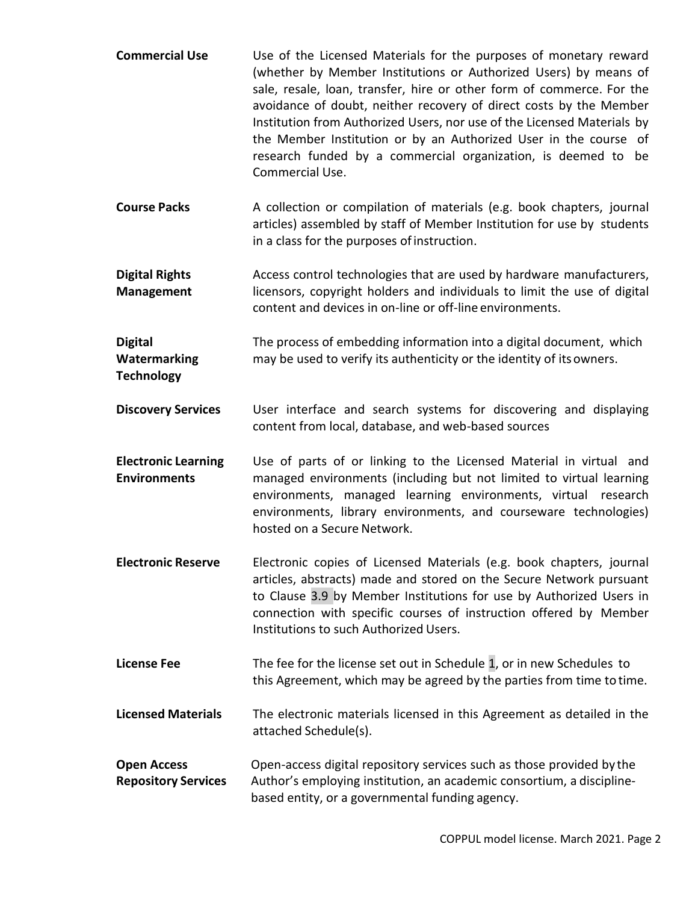- **Commercial Use** Use of the Licensed Materials for the purposes of monetary reward (whether by Member Institutions or Authorized Users) by means of sale, resale, loan, transfer, hire or other form of commerce. For the avoidance of doubt, neither recovery of direct costs by the Member Institution from Authorized Users, nor use of the Licensed Materials by the Member Institution or by an Authorized User in the course of research funded by a commercial organization, is deemed to be Commercial Use.
- **Course Packs** A collection or compilation of materials (e.g. book chapters, journal articles) assembled by staff of Member Institution for use by students in a class for the purposes ofinstruction.
- **Digital Rights Management** Access control technologies that are used by hardware manufacturers, licensors, copyright holders and individuals to limit the use of digital content and devices in on-line or off-line environments.
- **Digital Watermarking Technology** The process of embedding information into a digital document, which may be used to verify its authenticity or the identity of itsowners.
- **Discovery Services** User interface and search systems for discovering and displaying content from local, database, and web-based sources
- **Electronic Learning Environments** Use of parts of or linking to the Licensed Material in virtual and managed environments (including but not limited to virtual learning environments, managed learning environments, virtual research environments, library environments, and courseware technologies) hosted on a Secure Network.
- **Electronic Reserve** Electronic copies of Licensed Materials (e.g. book chapters, journal articles, abstracts) made and stored on the Secure Network pursuant to Clause 3.9 by Member Institutions for use by Authorized Users in connection with specific courses of instruction offered by Member Institutions to such Authorized Users.
- **License Fee** The fee for the license set out in Schedule 1, or in new Schedules to this Agreement, which may be agreed by the parties from time to time.
- **Licensed Materials** The electronic materials licensed in this Agreement as detailed in the attached Schedule(s).
- **Open Access Repository Services** Open-access digital repository services such as those provided by the Author's employing institution, an academic consortium, a disciplinebased entity, or a governmental funding agency.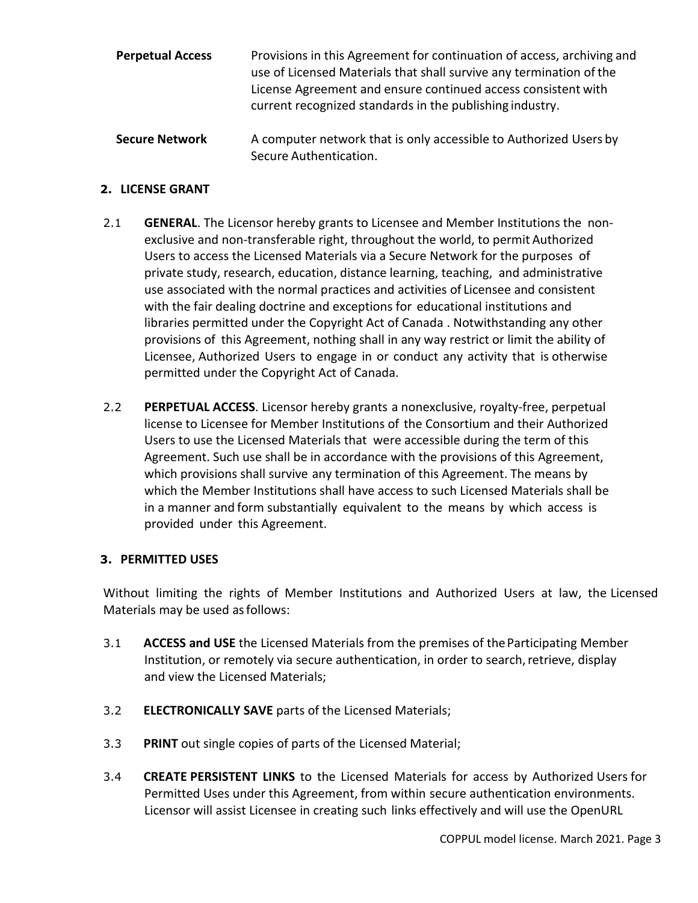| <b>Perpetual Access</b> | Provisions in this Agreement for continuation of access, archiving and<br>use of Licensed Materials that shall survive any termination of the<br>License Agreement and ensure continued access consistent with<br>current recognized standards in the publishing industry. |  |
|-------------------------|----------------------------------------------------------------------------------------------------------------------------------------------------------------------------------------------------------------------------------------------------------------------------|--|
| <b>Secure Network</b>   | A computer network that is only accessible to Authorized Users by<br>Secure Authentication.                                                                                                                                                                                |  |

## **2. LICENSE GRANT**

- 2.1 **GENERAL**. The Licensor hereby grants to Licensee and Member Institutions the nonexclusive and non-transferable right, throughout the world, to permit Authorized Users to access the Licensed Materials via a Secure Network for the purposes of private study, research, education, distance learning, teaching, and administrative use associated with the normal practices and activities of Licensee and consistent with the fair dealing doctrine and exceptions for educational institutions and libraries permitted under the Copyright Act of Canada . Notwithstanding any other provisions of this Agreement, nothing shall in any way restrict or limit the ability of Licensee, Authorized Users to engage in or conduct any activity that is otherwise permitted under the Copyright Act of Canada.
- 2.2 **PERPETUAL ACCESS**. Licensor hereby grants a nonexclusive, royalty-free, perpetual license to Licensee for Member Institutions of the Consortium and their Authorized Users to use the Licensed Materials that were accessible during the term of this Agreement. Such use shall be in accordance with the provisions of this Agreement, which provisions shall survive any termination of this Agreement. The means by which the Member Institutions shall have access to such Licensed Materials shall be in a manner and form substantially equivalent to the means by which access is provided under this Agreement.

### **3. PERMITTED USES**

Without limiting the rights of Member Institutions and Authorized Users at law, the Licensed Materials may be used as follows:

- 3.1 **ACCESS and USE** the Licensed Materials from the premises of theParticipating Member Institution, or remotely via secure authentication, in order to search, retrieve, display and view the Licensed Materials;
- 3.2 **ELECTRONICALLY SAVE** parts of the Licensed Materials;
- 3.3 **PRINT** out single copies of parts of the Licensed Material;
- 3.4 **CREATE PERSISTENT LINKS** to the Licensed Materials for access by Authorized Users for Permitted Uses under this Agreement, from within secure authentication environments. Licensor will assist Licensee in creating such links effectively and will use the OpenURL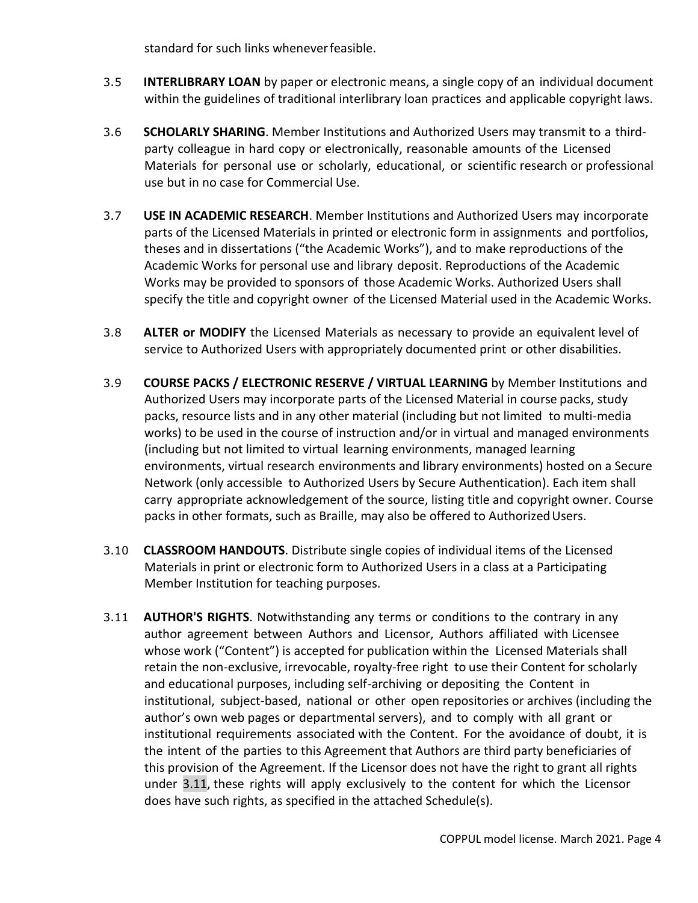standard for such links wheneverfeasible.

- 3.5 **INTERLIBRARY LOAN** by paper or electronic means, a single copy of an individual document within the guidelines of traditional interlibrary loan practices and applicable copyright laws.
- 3.6 **SCHOLARLY SHARING**. Member Institutions and Authorized Users may transmit to a thirdparty colleague in hard copy or electronically, reasonable amounts of the Licensed Materials for personal use or scholarly, educational, or scientific research or professional use but in no case for Commercial Use.
- 3.7 **USE IN ACADEMIC RESEARCH**. Member Institutions and Authorized Users may incorporate parts of the Licensed Materials in printed or electronic form in assignments and portfolios, theses and in dissertations ("the Academic Works"), and to make reproductions of the Academic Works for personal use and library deposit. Reproductions of the Academic Works may be provided to sponsors of those Academic Works. Authorized Users shall specify the title and copyright owner of the Licensed Material used in the Academic Works.
- 3.8 **ALTER or MODIFY** the Licensed Materials as necessary to provide an equivalent level of service to Authorized Users with appropriately documented print or other disabilities.
- 3.9 **COURSE PACKS / ELECTRONIC RESERVE / VIRTUAL LEARNING** by Member Institutions and Authorized Users may incorporate parts of the Licensed Material in course packs, study packs, resource lists and in any other material (including but not limited to multi-media works) to be used in the course of instruction and/or in virtual and managed environments (including but not limited to virtual learning environments, managed learning environments, virtual research environments and library environments) hosted on a Secure Network (only accessible to Authorized Users by Secure Authentication). Each item shall carry appropriate acknowledgement of the source, listing title and copyright owner. Course packs in other formats, such as Braille, may also be offered to Authorized Users.
- 3.10 **CLASSROOM HANDOUTS**. Distribute single copies of individual items of the Licensed Materials in print or electronic form to Authorized Users in a class at a Participating Member Institution for teaching purposes.
- 3.11 **AUTHOR'S RIGHTS**. Notwithstanding any terms or conditions to the contrary in any author agreement between Authors and Licensor, Authors affiliated with Licensee whose work ("Content") is accepted for publication within the Licensed Materials shall retain the non-exclusive, irrevocable, royalty-free right to use their Content for scholarly and educational purposes, including self-archiving or depositing the Content in institutional, subject-based, national or other open repositories or archives (including the author's own web pages or departmental servers), and to comply with all grant or institutional requirements associated with the Content. For the avoidance of doubt, it is the intent of the parties to this Agreement that Authors are third party beneficiaries of this provision of the Agreement. If the Licensor does not have the right to grant all rights under 3.11, these rights will apply exclusively to the content for which the Licensor does have such rights, as specified in the attached Schedule(s).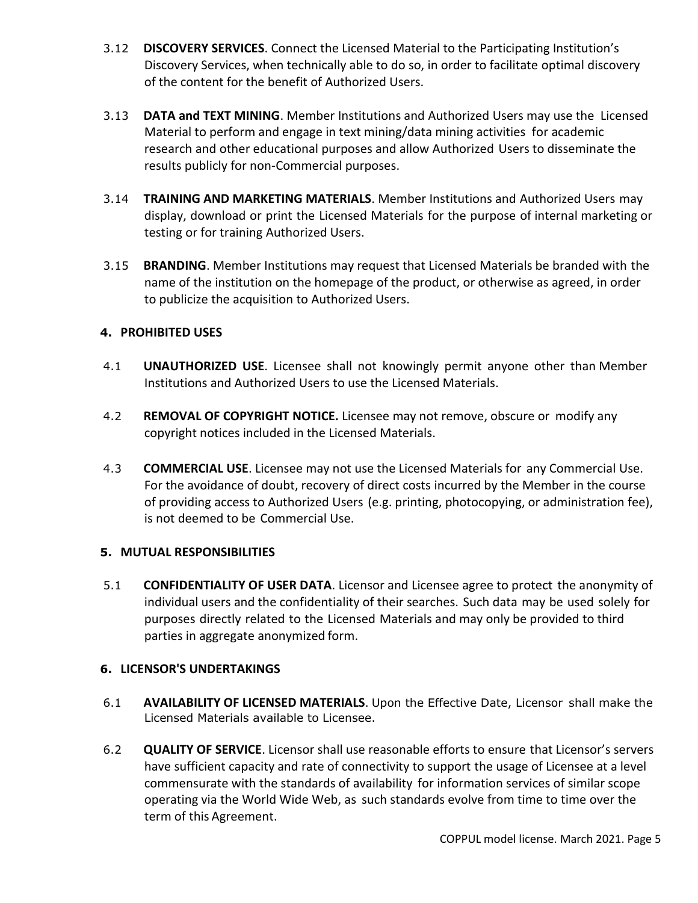- 3.12 **DISCOVERY SERVICES**. Connect the Licensed Material to the Participating Institution's Discovery Services, when technically able to do so, in order to facilitate optimal discovery of the content for the benefit of Authorized Users.
- 3.13 **DATA and TEXT MINING**. Member Institutions and Authorized Users may use the Licensed Material to perform and engage in text mining/data mining activities for academic research and other educational purposes and allow Authorized Users to disseminate the results publicly for non-Commercial purposes.
- 3.14 **TRAINING AND MARKETING MATERIALS**. Member Institutions and Authorized Users may display, download or print the Licensed Materials for the purpose of internal marketing or testing or for training Authorized Users.
- 3.15 **BRANDING**. Member Institutions may request that Licensed Materials be branded with the name of the institution on the homepage of the product, or otherwise as agreed, in order to publicize the acquisition to Authorized Users.

# **4. PROHIBITED USES**

- 4.1 **UNAUTHORIZED USE**. Licensee shall not knowingly permit anyone other than Member Institutions and Authorized Users to use the Licensed Materials.
- 4.2 **REMOVAL OF COPYRIGHT NOTICE.** Licensee may not remove, obscure or modify any copyright notices included in the Licensed Materials.
- 4.3 **COMMERCIAL USE**. Licensee may not use the Licensed Materials for any Commercial Use. For the avoidance of doubt, recovery of direct costs incurred by the Member in the course of providing access to Authorized Users (e.g. printing, photocopying, or administration fee), is not deemed to be Commercial Use.

### **5. MUTUAL RESPONSIBILITIES**

5.1 **CONFIDENTIALITY OF USER DATA**. Licensor and Licensee agree to protect the anonymity of individual users and the confidentiality of their searches. Such data may be used solely for purposes directly related to the Licensed Materials and may only be provided to third parties in aggregate anonymized form.

# **6. LICENSOR'S UNDERTAKINGS**

- 6.1 **AVAILABILITY OF LICENSED MATERIALS**. Upon the Effective Date, Licensor shall make the Licensed Materials available to Licensee.
- 6.2 **QUALITY OF SERVICE**. Licensor shall use reasonable efforts to ensure that Licensor's servers have sufficient capacity and rate of connectivity to support the usage of Licensee at a level commensurate with the standards of availability for information services of similar scope operating via the World Wide Web, as such standards evolve from time to time over the term of this Agreement.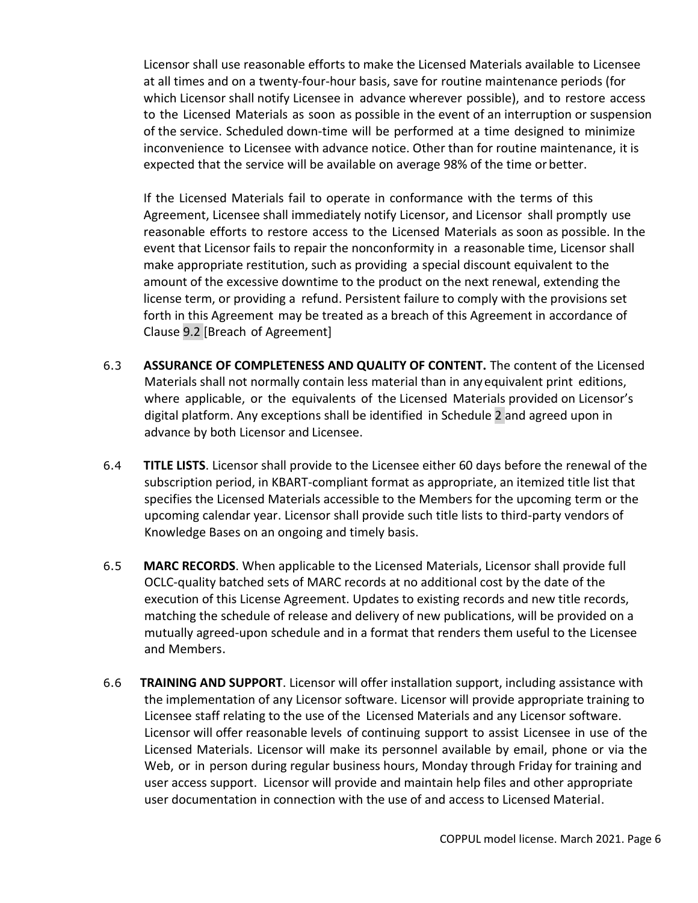Licensor shall use reasonable efforts to make the Licensed Materials available to Licensee at all times and on a twenty-four-hour basis, save for routine maintenance periods (for which Licensor shall notify Licensee in advance wherever possible), and to restore access to the Licensed Materials as soon as possible in the event of an interruption or suspension of the service. Scheduled down-time will be performed at a time designed to minimize inconvenience to Licensee with advance notice. Other than for routine maintenance, it is expected that the service will be available on average 98% of the time or better.

If the Licensed Materials fail to operate in conformance with the terms of this Agreement, Licensee shall immediately notify Licensor, and Licensor shall promptly use reasonable efforts to restore access to the Licensed Materials as soon as possible. In the event that Licensor fails to repair the nonconformity in a reasonable time, Licensor shall make appropriate restitution, such as providing a special discount equivalent to the amount of the excessive downtime to the product on the next renewal, extending the license term, or providing a refund. Persistent failure to comply with the provisions set forth in this Agreement may be treated as a breach of this Agreement in accordance of Clause 9.2 [Breach of Agreement]

- 6.3 **ASSURANCE OF COMPLETENESS AND QUALITY OF CONTENT.** The content of the Licensed Materials shall not normally contain less material than in anyequivalent print editions, where applicable, or the equivalents of the Licensed Materials provided on Licensor's digital platform. Any exceptions shall be identified in Schedule 2 and agreed upon in advance by both Licensor and Licensee.
- 6.4 **TITLE LISTS**. Licensor shall provide to the Licensee either 60 days before the renewal of the subscription period, in KBART-compliant format as appropriate, an itemized title list that specifies the Licensed Materials accessible to the Members for the upcoming term or the upcoming calendar year. Licensor shall provide such title lists to third-party vendors of Knowledge Bases on an ongoing and timely basis.
- 6.5 **MARC RECORDS**. When applicable to the Licensed Materials, Licensor shall provide full OCLC-quality batched sets of MARC records at no additional cost by the date of the execution of this License Agreement. Updates to existing records and new title records, matching the schedule of release and delivery of new publications, will be provided on a mutually agreed-upon schedule and in a format that renders them useful to the Licensee and Members.
- 6.6 **TRAINING AND SUPPORT**. Licensor will offer installation support, including assistance with the implementation of any Licensor software. Licensor will provide appropriate training to Licensee staff relating to the use of the Licensed Materials and any Licensor software. Licensor will offer reasonable levels of continuing support to assist Licensee in use of the Licensed Materials. Licensor will make its personnel available by email, phone or via the Web, or in person during regular business hours, Monday through Friday for training and user access support. Licensor will provide and maintain help files and other appropriate user documentation in connection with the use of and access to Licensed Material.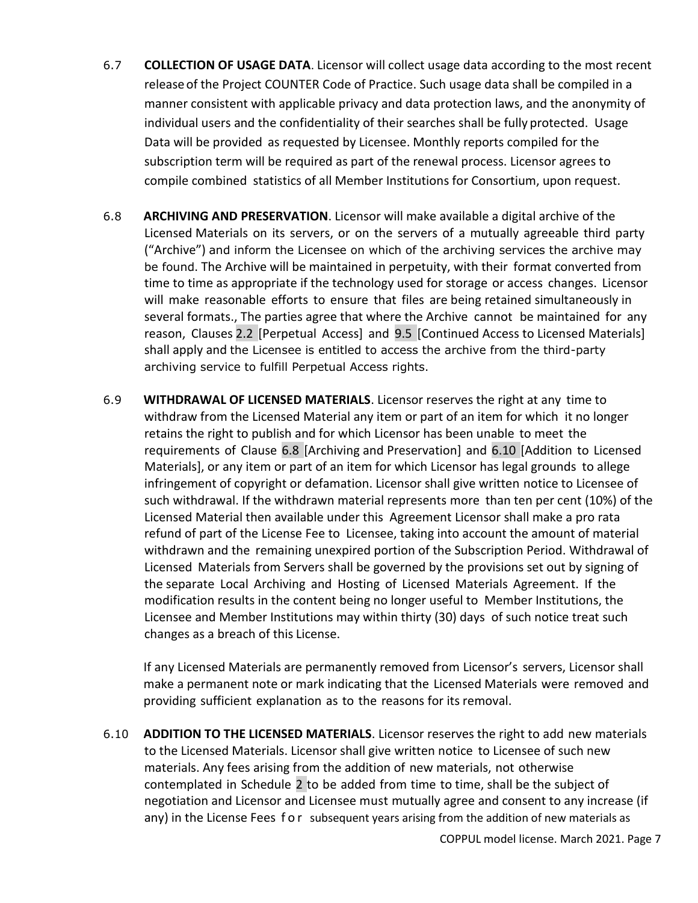- 6.7 **COLLECTION OF USAGE DATA**. Licensor will collect usage data according to the most recent releaseof the Project COUNTER Code of Practice. Such usage data shall be compiled in a manner consistent with applicable privacy and data protection laws, and the anonymity of individual users and the confidentiality of their searches shall be fully protected. Usage Data will be provided as requested by Licensee. Monthly reports compiled for the subscription term will be required as part of the renewal process. Licensor agrees to compile combined statistics of all Member Institutions for Consortium, upon request.
- 6.8 **ARCHIVING AND PRESERVATION**. Licensor will make available a digital archive of the Licensed Materials on its servers, or on the servers of a mutually agreeable third party ("Archive") and inform the Licensee on which of the archiving services the archive may be found. The Archive will be maintained in perpetuity, with their format converted from time to time as appropriate if the technology used for storage or access changes. Licensor will make reasonable efforts to ensure that files are being retained simultaneously in several formats., The parties agree that where the Archive cannot be maintained for any reason, Clauses 2.2 [Perpetual Access] and 9.5 [Continued Access to Licensed Materials] shall apply and the Licensee is entitled to access the archive from the third-party archiving service to fulfill Perpetual Access rights.
- 6.9 **WITHDRAWAL OF LICENSED MATERIALS**. Licensor reserves the right at any time to withdraw from the Licensed Material any item or part of an item for which it no longer retains the right to publish and for which Licensor has been unable to meet the requirements of Clause 6.8 [Archiving and Preservation] and 6.10 [Addition to Licensed Materials], or any item or part of an item for which Licensor has legal grounds to allege infringement of copyright or defamation. Licensor shall give written notice to Licensee of such withdrawal. If the withdrawn material represents more than ten per cent (10%) of the Licensed Material then available under this Agreement Licensor shall make a pro rata refund of part of the License Fee to Licensee, taking into account the amount of material withdrawn and the remaining unexpired portion of the Subscription Period. Withdrawal of Licensed Materials from Servers shall be governed by the provisions set out by signing of the separate Local Archiving and Hosting of Licensed Materials Agreement. If the modification results in the content being no longer useful to Member Institutions, the Licensee and Member Institutions may within thirty (30) days of such notice treat such changes as a breach of this License.

If any Licensed Materials are permanently removed from Licensor's servers, Licensor shall make a permanent note or mark indicating that the Licensed Materials were removed and providing sufficient explanation as to the reasons for its removal.

6.10 **ADDITION TO THE LICENSED MATERIALS**. Licensor reserves the right to add new materials to the Licensed Materials. Licensor shall give written notice to Licensee of such new materials. Any fees arising from the addition of new materials, not otherwise contemplated in Schedule 2 to be added from time to time, shall be the subject of negotiation and Licensor and Licensee must mutually agree and consent to any increase (if any) in the License Fees for subsequent years arising from the addition of new materials as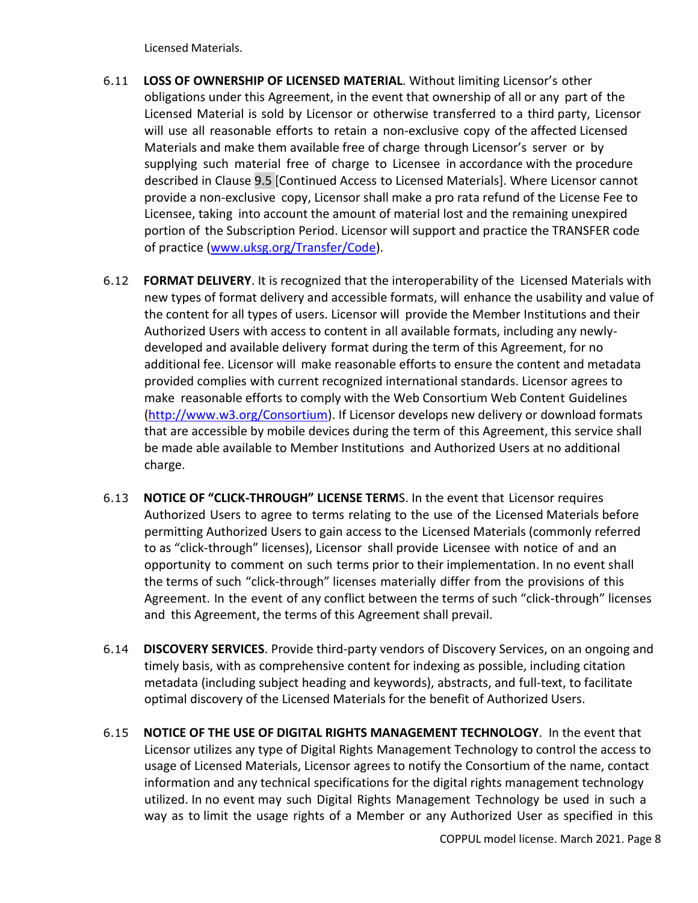Licensed Materials.

- 6.11 **LOSS OF OWNERSHIP OF LICENSED MATERIAL**. Without limiting Licensor's other obligations under this Agreement, in the event that ownership of all or any part of the Licensed Material is sold by Licensor or otherwise transferred to a third party, Licensor will use all reasonable efforts to retain a non-exclusive copy of the affected Licensed Materials and make them available free of charge through Licensor's server or by supplying such material free of charge to Licensee in accordance with the procedure described in Clause 9.5 [Continued Access to Licensed Materials]. Where Licensor cannot provide a non-exclusive copy, Licensor shall make a pro rata refund of the License Fee to Licensee, taking into account the amount of material lost and the remaining unexpired portion of the Subscription Period. Licensor will support and practice the TRANSFER code of practice [\(www.uksg.org/Transfer/Code\)](http://www.uksg.org/Transfer/Code).
- 6.12 **FORMAT DELIVERY**. It is recognized that the interoperability of the Licensed Materials with new types of format delivery and accessible formats, will enhance the usability and value of the content for all types of users. Licensor will provide the Member Institutions and their Authorized Users with access to content in all available formats, including any newlydeveloped and available delivery format during the term of this Agreement, for no additional fee. Licensor will make reasonable efforts to ensure the content and metadata provided complies with current recognized international standards. Licensor agrees to make reasonable efforts to comply with the Web Consortium Web Content Guidelines [\(http://www.w3.org/Consortium\)](http://www.w3.org/Consortium). If Licensor develops new delivery or download formats that are accessible by mobile devices during the term of this Agreement, this service shall be made able available to Member Institutions and Authorized Users at no additional charge.
- 6.13 **NOTICE OF "CLICK-THROUGH" LICENSE TERM**S. In the event that Licensor requires Authorized Users to agree to terms relating to the use of the Licensed Materials before permitting Authorized Users to gain access to the Licensed Materials (commonly referred to as "click-through" licenses), Licensor shall provide Licensee with notice of and an opportunity to comment on such terms prior to their implementation. In no event shall the terms of such "click-through" licenses materially differ from the provisions of this Agreement. In the event of any conflict between the terms of such "click-through" licenses and this Agreement, the terms of this Agreement shall prevail.
- 6.14 **DISCOVERY SERVICES**. Provide third-party vendors of Discovery Services, on an ongoing and timely basis, with as comprehensive content for indexing as possible, including citation metadata (including subject heading and keywords), abstracts, and full-text, to facilitate optimal discovery of the Licensed Materials for the benefit of Authorized Users.
- 6.15 **NOTICE OF THE USE OF DIGITAL RIGHTS MANAGEMENT TECHNOLOGY**. In the event that Licensor utilizes any type of Digital Rights Management Technology to control the access to usage of Licensed Materials, Licensor agrees to notify the Consortium of the name, contact information and any technical specifications for the digital rights management technology utilized. In no event may such Digital Rights Management Technology be used in such a way as to limit the usage rights of a Member or any Authorized User as specified in this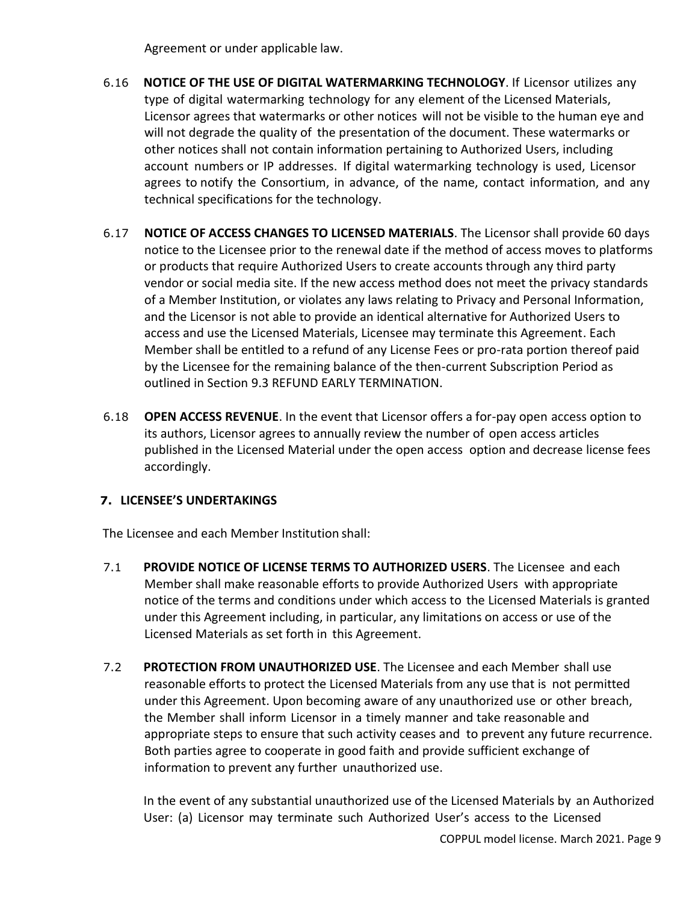Agreement or under applicable law.

- 6.16 **NOTICE OF THE USE OF DIGITAL WATERMARKING TECHNOLOGY**. If Licensor utilizes any type of digital watermarking technology for any element of the Licensed Materials, Licensor agrees that watermarks or other notices will not be visible to the human eye and will not degrade the quality of the presentation of the document. These watermarks or other notices shall not contain information pertaining to Authorized Users, including account numbers or IP addresses. If digital watermarking technology is used, Licensor agrees to notify the Consortium, in advance, of the name, contact information, and any technical specifications for the technology.
- 6.17 **NOTICE OF ACCESS CHANGES TO LICENSED MATERIALS**. The Licensor shall provide 60 days notice to the Licensee prior to the renewal date if the method of access moves to platforms or products that require Authorized Users to create accounts through any third party vendor or social media site. If the new access method does not meet the privacy standards of a Member Institution, or violates any laws relating to Privacy and Personal Information, and the Licensor is not able to provide an identical alternative for Authorized Users to access and use the Licensed Materials, Licensee may terminate this Agreement. Each Member shall be entitled to a refund of any License Fees or pro-rata portion thereof paid by the Licensee for the remaining balance of the then-current Subscription Period as outlined in Section 9.3 REFUND EARLY TERMINATION.
- 6.18 **OPEN ACCESS REVENUE**. In the event that Licensor offers a for-pay open access option to its authors, Licensor agrees to annually review the number of open access articles published in the Licensed Material under the open access option and decrease license fees accordingly.

# **7. LICENSEE'S UNDERTAKINGS**

The Licensee and each Member Institution shall:

- 7.1 **PROVIDE NOTICE OF LICENSE TERMS TO AUTHORIZED USERS**. The Licensee and each Member shall make reasonable efforts to provide Authorized Users with appropriate notice of the terms and conditions under which access to the Licensed Materials is granted under this Agreement including, in particular, any limitations on access or use of the Licensed Materials as set forth in this Agreement.
- 7.2 **PROTECTION FROM UNAUTHORIZED USE**. The Licensee and each Member shall use reasonable efforts to protect the Licensed Materials from any use that is not permitted under this Agreement. Upon becoming aware of any unauthorized use or other breach, the Member shall inform Licensor in a timely manner and take reasonable and appropriate steps to ensure that such activity ceases and to prevent any future recurrence. Both parties agree to cooperate in good faith and provide sufficient exchange of information to prevent any further unauthorized use.

In the event of any substantial unauthorized use of the Licensed Materials by an Authorized User: (a) Licensor may terminate such Authorized User's access to the Licensed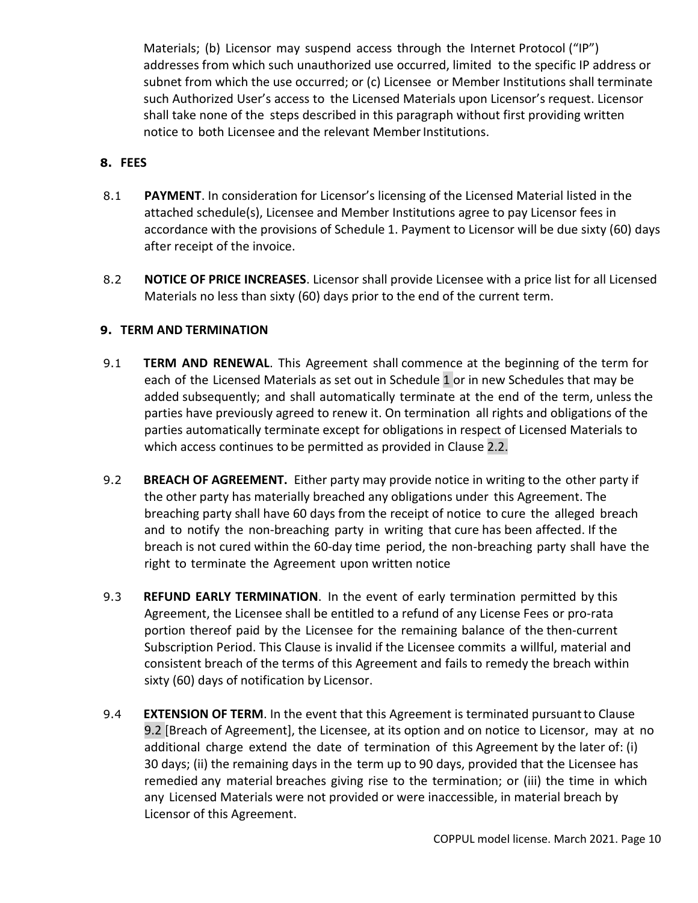Materials; (b) Licensor may suspend access through the Internet Protocol ("IP") addresses from which such unauthorized use occurred, limited to the specific IP address or subnet from which the use occurred; or (c) Licensee or Member Institutions shall terminate such Authorized User's access to the Licensed Materials upon Licensor's request. Licensor shall take none of the steps described in this paragraph without first providing written notice to both Licensee and the relevant Member Institutions.

# **8. FEES**

- 8.1 **PAYMENT**. In consideration for Licensor's licensing of the Licensed Material listed in the attached schedule(s), Licensee and Member Institutions agree to pay Licensor fees in accordance with the provisions of Schedule 1. Payment to Licensor will be due sixty (60) days after receipt of the invoice.
- 8.2 **NOTICE OF PRICE INCREASES**. Licensor shall provide Licensee with a price list for all Licensed Materials no less than sixty (60) days prior to the end of the current term.

## **9. TERM AND TERMINATION**

- 9.1 **TERM AND RENEWAL**. This Agreement shall commence at the beginning of the term for each of the Licensed Materials as set out in Schedule 1 or in new Schedules that may be added subsequently; and shall automatically terminate at the end of the term, unless the parties have previously agreed to renew it. On termination all rights and obligations of the parties automatically terminate except for obligations in respect of Licensed Materials to which access continues to be permitted as provided in Clause 2.2.
- 9.2 **BREACH OF AGREEMENT.** Either party may provide notice in writing to the other party if the other party has materially breached any obligations under this Agreement. The breaching party shall have 60 days from the receipt of notice to cure the alleged breach and to notify the non-breaching party in writing that cure has been affected. If the breach is not cured within the 60-day time period, the non-breaching party shall have the right to terminate the Agreement upon written notice
- 9.3 **REFUND EARLY TERMINATION**. In the event of early termination permitted by this Agreement, the Licensee shall be entitled to a refund of any License Fees or pro-rata portion thereof paid by the Licensee for the remaining balance of the then-current Subscription Period. This Clause is invalid if the Licensee commits a willful, material and consistent breach of the terms of this Agreement and fails to remedy the breach within sixty (60) days of notification by Licensor.
- 9.4 **EXTENSION OF TERM**. In the event that this Agreement is terminated pursuantto Clause 9.2 [Breach of Agreement], the Licensee, at its option and on notice to Licensor, may at no additional charge extend the date of termination of this Agreement by the later of: (i) 30 days; (ii) the remaining days in the term up to 90 days, provided that the Licensee has remedied any material breaches giving rise to the termination; or (iii) the time in which any Licensed Materials were not provided or were inaccessible, in material breach by Licensor of this Agreement.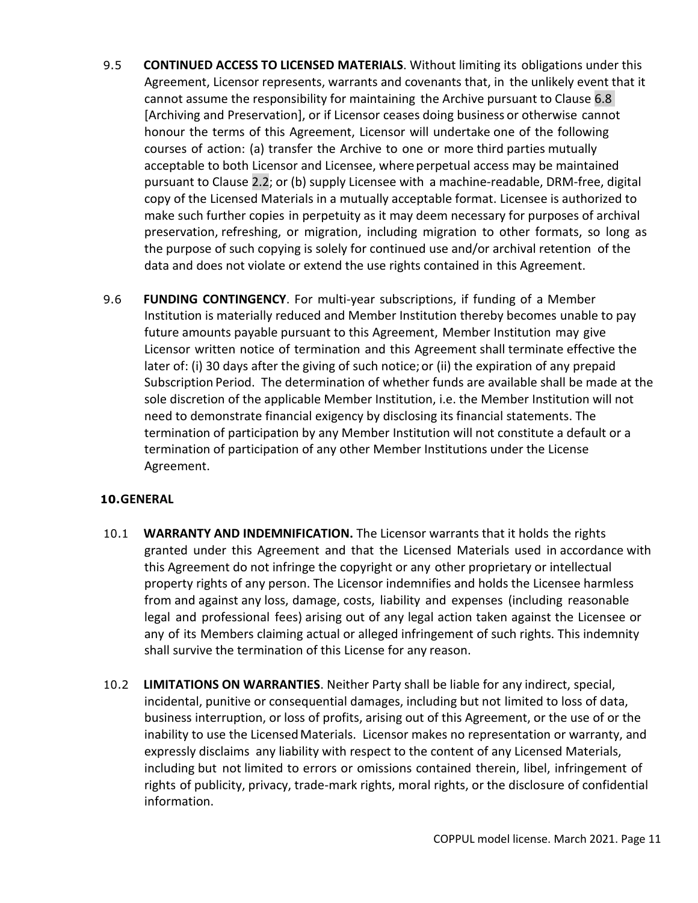- 9.5 **CONTINUED ACCESS TO LICENSED MATERIALS**. Without limiting its obligations under this Agreement, Licensor represents, warrants and covenants that, in the unlikely event that it cannot assume the responsibility for maintaining the Archive pursuant to Clause 6.8 [Archiving and Preservation], or if Licensor ceases doing business or otherwise cannot honour the terms of this Agreement, Licensor will undertake one of the following courses of action: (a) transfer the Archive to one or more third parties mutually acceptable to both Licensor and Licensee, whereperpetual access may be maintained pursuant to Clause 2.2; or (b) supply Licensee with a machine-readable, DRM-free, digital copy of the Licensed Materials in a mutually acceptable format. Licensee is authorized to make such further copies in perpetuity as it may deem necessary for purposes of archival preservation, refreshing, or migration, including migration to other formats, so long as the purpose of such copying is solely for continued use and/or archival retention of the data and does not violate or extend the use rights contained in this Agreement.
- 9.6 **FUNDING CONTINGENCY**. For multi-year subscriptions, if funding of a Member Institution is materially reduced and Member Institution thereby becomes unable to pay future amounts payable pursuant to this Agreement, Member Institution may give Licensor written notice of termination and this Agreement shall terminate effective the later of: (i) 30 days after the giving of such notice;or (ii) the expiration of any prepaid Subscription Period. The determination of whether funds are available shall be made at the sole discretion of the applicable Member Institution, i.e. the Member Institution will not need to demonstrate financial exigency by disclosing its financial statements. The termination of participation by any Member Institution will not constitute a default or a termination of participation of any other Member Institutions under the License Agreement.

# **10.GENERAL**

- 10.1 **WARRANTY AND INDEMNIFICATION.** The Licensor warrants that it holds the rights granted under this Agreement and that the Licensed Materials used in accordance with this Agreement do not infringe the copyright or any other proprietary or intellectual property rights of any person. The Licensor indemnifies and holds the Licensee harmless from and against any loss, damage, costs, liability and expenses (including reasonable legal and professional fees) arising out of any legal action taken against the Licensee or any of its Members claiming actual or alleged infringement of such rights. This indemnity shall survive the termination of this License for any reason.
- 10.2 **LIMITATIONS ON WARRANTIES**. Neither Party shall be liable for any indirect, special, incidental, punitive or consequential damages, including but not limited to loss of data, business interruption, or loss of profits, arising out of this Agreement, or the use of or the inability to use the Licensed Materials. Licensor makes no representation or warranty, and expressly disclaims any liability with respect to the content of any Licensed Materials, including but not limited to errors or omissions contained therein, libel, infringement of rights of publicity, privacy, trade-mark rights, moral rights, or the disclosure of confidential information.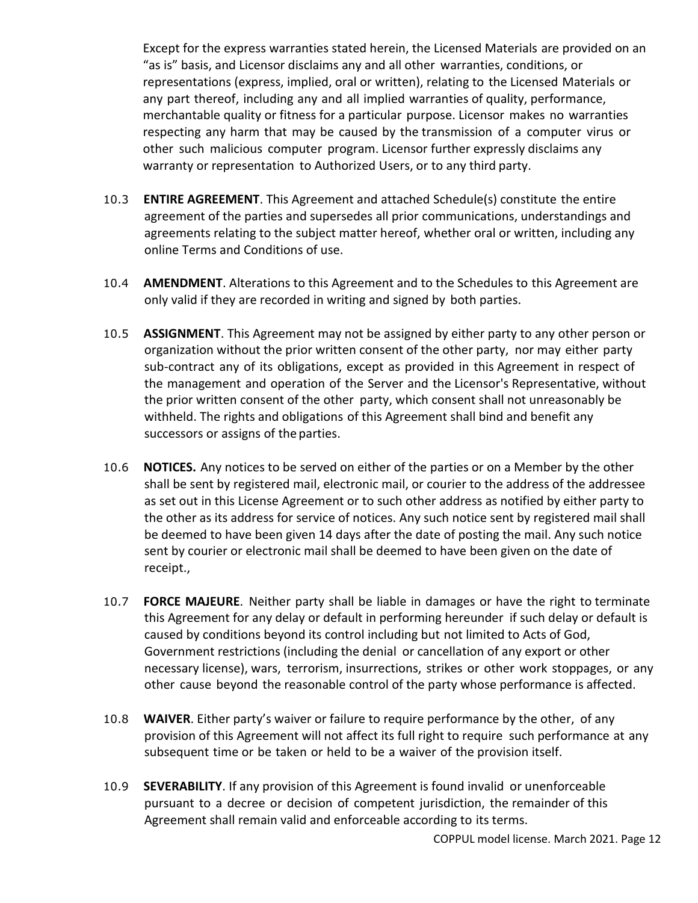Except for the express warranties stated herein, the Licensed Materials are provided on an "as is" basis, and Licensor disclaims any and all other warranties, conditions, or representations (express, implied, oral or written), relating to the Licensed Materials or any part thereof, including any and all implied warranties of quality, performance, merchantable quality or fitness for a particular purpose. Licensor makes no warranties respecting any harm that may be caused by the transmission of a computer virus or other such malicious computer program. Licensor further expressly disclaims any warranty or representation to Authorized Users, or to any third party.

- 10.3 **ENTIRE AGREEMENT**. This Agreement and attached Schedule(s) constitute the entire agreement of the parties and supersedes all prior communications, understandings and agreements relating to the subject matter hereof, whether oral or written, including any online Terms and Conditions of use.
- 10.4 **AMENDMENT**. Alterations to this Agreement and to the Schedules to this Agreement are only valid if they are recorded in writing and signed by both parties.
- 10.5 **ASSIGNMENT**. This Agreement may not be assigned by either party to any other person or organization without the prior written consent of the other party, nor may either party sub-contract any of its obligations, except as provided in this Agreement in respect of the management and operation of the Server and the Licensor's Representative, without the prior written consent of the other party, which consent shall not unreasonably be withheld. The rights and obligations of this Agreement shall bind and benefit any successors or assigns of the parties.
- 10.6 **NOTICES.** Any notices to be served on either of the parties or on a Member by the other shall be sent by registered mail, electronic mail, or courier to the address of the addressee as set out in this License Agreement or to such other address as notified by either party to the other as its address for service of notices. Any such notice sent by registered mail shall be deemed to have been given 14 days after the date of posting the mail. Any such notice sent by courier or electronic mail shall be deemed to have been given on the date of receipt.,
- 10.7 **FORCE MAJEURE**. Neither party shall be liable in damages or have the right to terminate this Agreement for any delay or default in performing hereunder if such delay or default is caused by conditions beyond its control including but not limited to Acts of God, Government restrictions (including the denial or cancellation of any export or other necessary license), wars, terrorism, insurrections, strikes or other work stoppages, or any other cause beyond the reasonable control of the party whose performance is affected.
- 10.8 **WAIVER**. Either party's waiver or failure to require performance by the other, of any provision of this Agreement will not affect its full right to require such performance at any subsequent time or be taken or held to be a waiver of the provision itself.
- 10.9 **SEVERABILITY**. If any provision of this Agreement is found invalid or unenforceable pursuant to a decree or decision of competent jurisdiction, the remainder of this Agreement shall remain valid and enforceable according to its terms.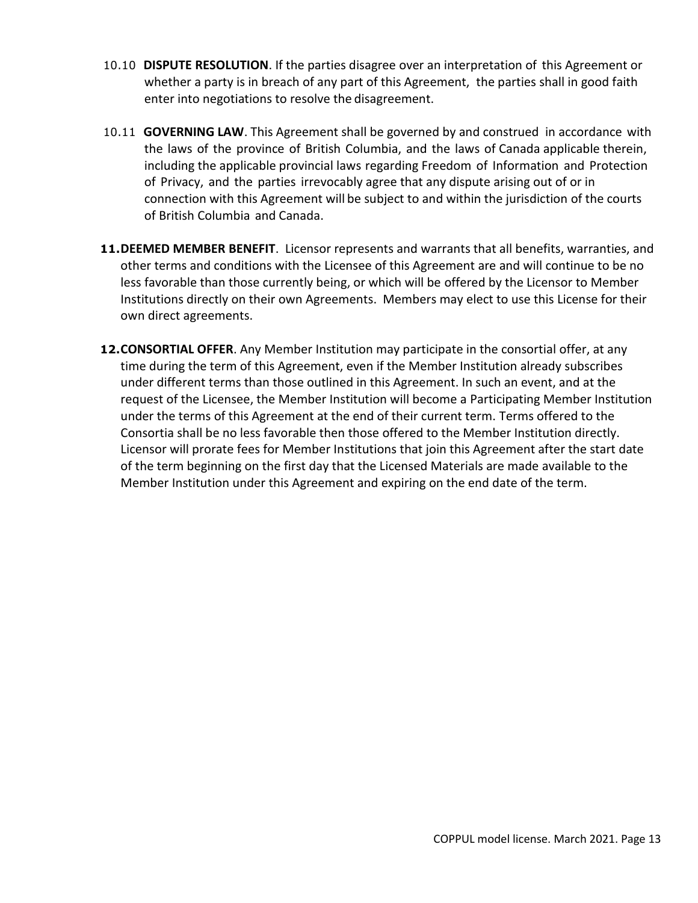- 10.10 **DISPUTE RESOLUTION**. If the parties disagree over an interpretation of this Agreement or whether a party is in breach of any part of this Agreement, the parties shall in good faith enter into negotiations to resolve the disagreement.
- 10.11 **GOVERNING LAW**. This Agreement shall be governed by and construed in accordance with the laws of the province of British Columbia, and the laws of Canada applicable therein, including the applicable provincial laws regarding Freedom of Information and Protection of Privacy, and the parties irrevocably agree that any dispute arising out of or in connection with this Agreement will be subject to and within the jurisdiction of the courts of British Columbia and Canada.
- **11.DEEMED MEMBER BENEFIT**. Licensor represents and warrants that all benefits, warranties, and other terms and conditions with the Licensee of this Agreement are and will continue to be no less favorable than those currently being, or which will be offered by the Licensor to Member Institutions directly on their own Agreements. Members may elect to use this License for their own direct agreements.
- **12.CONSORTIAL OFFER**. Any Member Institution may participate in the consortial offer, at any time during the term of this Agreement, even if the Member Institution already subscribes under different terms than those outlined in this Agreement. In such an event, and at the request of the Licensee, the Member Institution will become a Participating Member Institution under the terms of this Agreement at the end of their current term. Terms offered to the Consortia shall be no less favorable then those offered to the Member Institution directly. Licensor will prorate fees for Member Institutions that join this Agreement after the start date of the term beginning on the first day that the Licensed Materials are made available to the Member Institution under this Agreement and expiring on the end date of the term.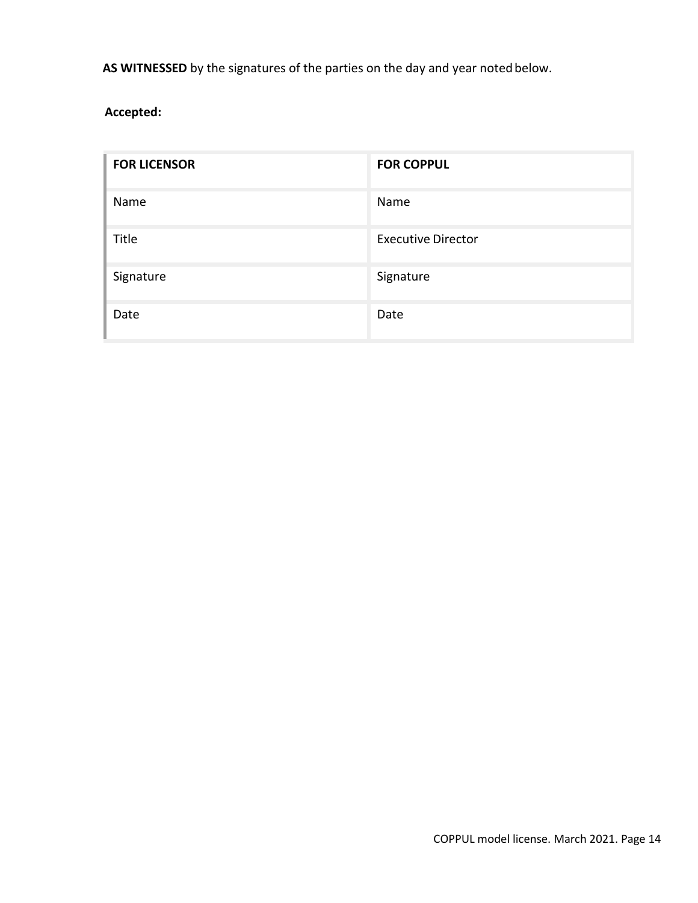AS WITNESSED by the signatures of the parties on the day and year noted below.

**Accepted:**

| <b>FOR LICENSOR</b> | <b>FOR COPPUL</b>         |
|---------------------|---------------------------|
| Name                | Name                      |
| Title               | <b>Executive Director</b> |
| Signature           | Signature                 |
| Date                | Date                      |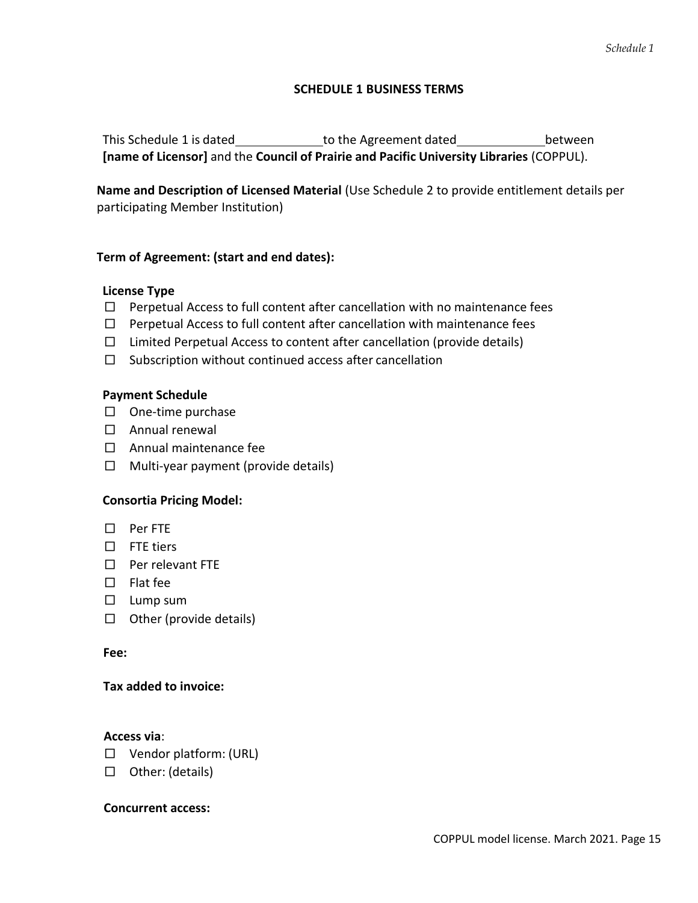### **SCHEDULE 1 BUSINESS TERMS**

This Schedule 1 is dated to the Agreement dated between **[name of Licensor]** and the **Council of Prairie and Pacific University Libraries** (COPPUL).

**Name and Description of Licensed Material** (Use Schedule 2 to provide entitlement details per participating Member Institution)

## **Term of Agreement: (start and end dates):**

### **License Type**

- $\Box$  Perpetual Access to full content after cancellation with no maintenance fees
- $\Box$  Perpetual Access to full content after cancellation with maintenance fees
- $\Box$  Limited Perpetual Access to content after cancellation (provide details)
- $\square$  Subscription without continued access after cancellation

#### **Payment Schedule**

- □ One-time purchase
- □ Annual renewal
- □ Annual maintenance fee
- $\Box$  Multi-year payment (provide details)

### **Consortia Pricing Model:**

- □ Per FTE
- □ FTE tiers
- □ Per relevant FTE
- □ Flat fee
- □ Lump sum
- □ Other (provide details)

#### **Fee:**

### **Tax added to invoice:**

#### **Access via**:

- □ Vendor platform: (URL)
- □ Other: (details)

#### **Concurrent access:**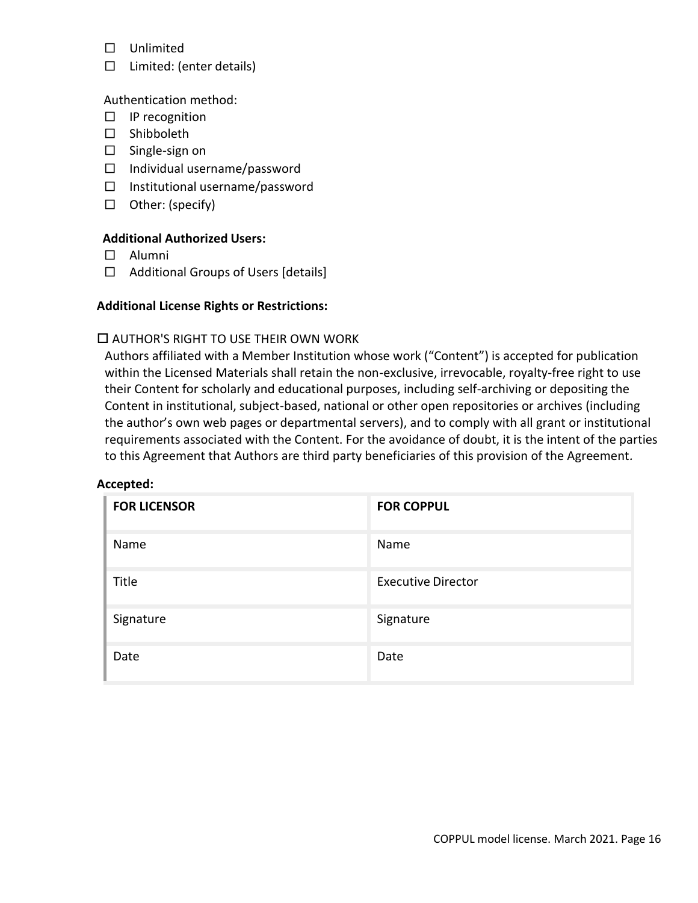- □ Unlimited
- □ Limited: (enter details)

### Authentication method:

- □ IP recognition
- □ Shibboleth
- $\square$  Single-sign on
- □ Individual username/password
- □ Institutional username/password
- □ Other: (specify)

## **Additional Authorized Users:**

- □ Alumni
- □ Additional Groups of Users [details]

### **Additional License Rights or Restrictions:**

### AUTHOR'S RIGHT TO USE THEIR OWN WORK

Authors affiliated with a Member Institution whose work ("Content") is accepted for publication within the Licensed Materials shall retain the non-exclusive, irrevocable, royalty-free right to use their Content for scholarly and educational purposes, including self-archiving or depositing the Content in institutional, subject-based, national or other open repositories or archives (including the author's own web pages or departmental servers), and to comply with all grant or institutional requirements associated with the Content. For the avoidance of doubt, it is the intent of the parties to this Agreement that Authors are third party beneficiaries of this provision of the Agreement*.*

#### **Accepted:**

| <b>FOR LICENSOR</b> | <b>FOR COPPUL</b>         |
|---------------------|---------------------------|
| Name                | Name                      |
| Title               | <b>Executive Director</b> |
| Signature           | Signature                 |
| Date                | Date                      |